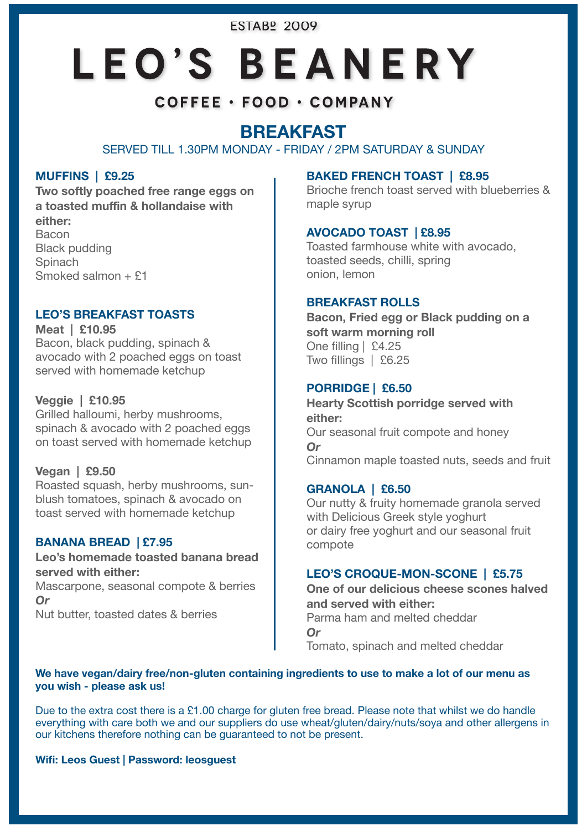**ESTABP 2009** 

# LEO'S BEANERY

## COFFEE · FOOD · COMPANY

# **BREAKFAST**

#### SERVED TILL 1.30PM MONDAY - FRIDAY / 2PM SATURDAY & SUNDAY

#### **MUFFINS | £9.25**

**Two softly poached free range eggs on a toasted muffin & hollandaise with either:** Bacon Black pudding **Spinach** Smoked salmon + £1

#### **LEO'S BREAKFAST TOASTS**

**Meat | £10.95**  Bacon, black pudding, spinach & avocado with 2 poached eggs on toast served with homemade ketchup

#### **Veggie | £10.95**

Grilled halloumi, herby mushrooms, spinach & avocado with 2 poached eggs on toast served with homemade ketchup

**Vegan | £9.50**  Roasted squash, herby mushrooms, sunblush tomatoes, spinach & avocado on toast served with homemade ketchup

#### **BANANA BREAD | £7.95**

**Leo's homemade toasted banana bread served with either:** 

Mascarpone, seasonal compote & berries *Or* 

Nut butter, toasted dates & berries

#### **BAKED FRENCH TOAST | £8.95**

Brioche french toast served with blueberries & maple syrup

#### **AVOCADO TOAST | £8.95**

Toasted farmhouse white with avocado, toasted seeds, chilli, spring onion, lemon

#### **BREAKFAST ROLLS**

**Bacon, Fried egg or Black pudding on a soft warm morning roll**  One filling | £4.25 Two fillings | £6.25

#### **PORRIDGE | £6.50**

**Hearty Scottish porridge served with either:** Our seasonal fruit compote and honey *Or* Cinnamon maple toasted nuts, seeds and fruit

#### **GRANOLA | £6.50**

Our nutty & fruity homemade granola served with Delicious Greek style yoghurt or dairy free yoghurt and our seasonal fruit compote

#### **LEO'S CROQUE-MON-SCONE | £5.75**

**One of our delicious cheese scones halved and served with either:** Parma ham and melted cheddar *Or* Tomato, spinach and melted cheddar

#### **We have vegan/dairy free/non-gluten containing ingredients to use to make a lot of our menu as you wish - please ask us!**

Due to the extra cost there is a £1.00 charge for gluten free bread. Please note that whilst we do handle everything with care both we and our suppliers do use wheat/gluten/dairy/nuts/soya and other allergens in our kitchens therefore nothing can be guaranteed to not be present.

**Wifi: Leos Guest | Password: leosguest**